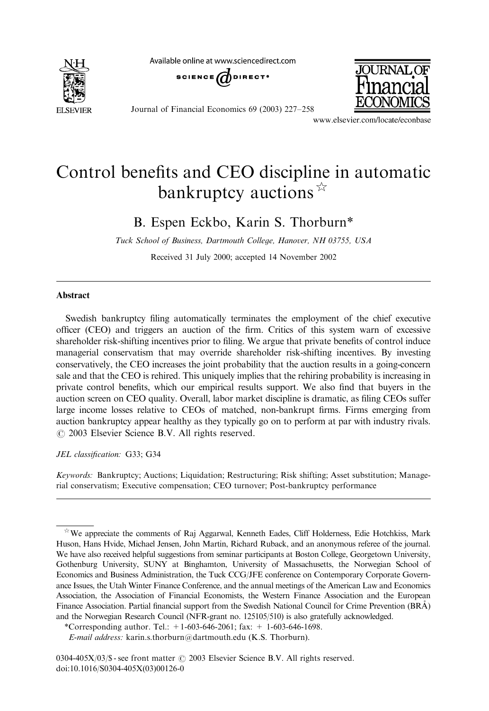

Available online at www.sciencedirect.com





Journal of Financial Economics 69 (2003) 227–258

www.elsevier.com/locate/econbase

## Control benefits and CEO discipline in automatic bankruptcy auctions  $\mathbb{R}$

B. Espen Eckbo, Karin S. Thorburn\*

Tuck School of Business, Dartmouth College, Hanover, NH 03755, USA

Received 31 July 2000; accepted 14 November 2002

## Abstract

Swedish bankruptcy filing automatically terminates the employment of the chief executive officer (CEO) and triggers an auction of the firm. Critics of this system warn of excessive shareholder risk-shifting incentives prior to filing. We argue that private benefits of control induce managerial conservatism that may override shareholder risk-shifting incentives. By investing conservatively, the CEO increases the joint probability that the auction results in a going-concern sale and that the CEO is rehired. This uniquely implies that the rehiring probability is increasing in private control benefits, which our empirical results support. We also find that buyers in the auction screen on CEO quality. Overall, labor market discipline is dramatic, as filing CEOs suffer large income losses relative to CEOs of matched, non-bankrupt firms. Firms emerging from auction bankruptcy appear healthy as they typically go on to perform at par with industry rivals.  $\odot$  2003 Elsevier Science B.V. All rights reserved.

JEL classification: G33; G34

Keywords: Bankruptcy; Auctions; Liquidation; Restructuring; Risk shifting; Asset substitution; Managerial conservatism; Executive compensation; CEO turnover; Post-bankruptcy performance

 $*$  We appreciate the comments of Raj Aggarwal, Kenneth Eades, Cliff Holderness, Edie Hotchkiss, Mark Huson, Hans Hvide, Michael Jensen, John Martin, Richard Ruback, and an anonymous referee of the journal. We have also received helpful suggestions from seminar participants at Boston College, Georgetown University, Gothenburg University, SUNY at Binghamton, University of Massachusetts, the Norwegian School of Economics and Business Administration, the Tuck CCG/JFE conference on Contemporary Corporate Governance Issues, the Utah Winter Finance Conference, and the annual meetings of the American Law and Economics Association, the Association of Financial Economists, the Western Finance Association and the European Finance Association. Partial financial support from the Swedish National Council for Crime Prevention (BRA) ( and the Norwegian Research Council (NFR-grant no. 125105/510) is also gratefully acknowledged.

<sup>\*</sup>Corresponding author. Tel.:  $+1-603-646-2061$ ; fax:  $+1-603-646-1698$ .

E-mail address: karin.s.thorburn@dartmouth.edu (K.S. Thorburn).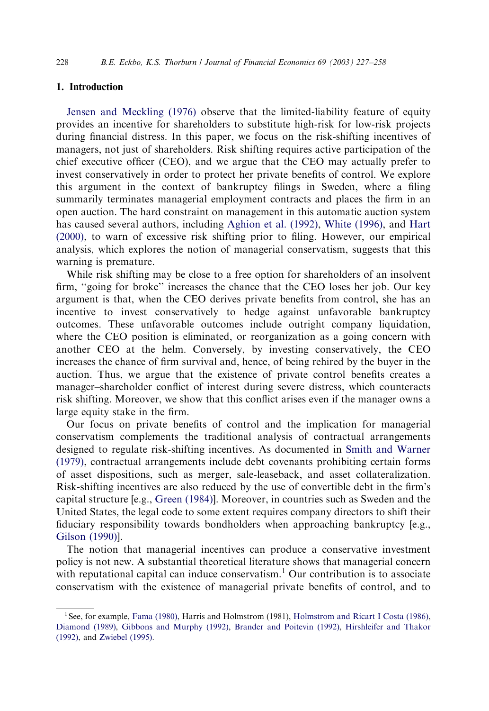## 1. Introduction

[Jensen and Meckling \(1976\)](#page--1-0) observe that the limited-liability feature of equity provides an incentive for shareholders to substitute high-risk for low-risk projects during financial distress. In this paper, we focus on the risk-shifting incentives of managers, not just of shareholders. Risk shifting requires active participation of the chief executive officer (CEO), and we argue that the CEO may actually prefer to invest conservatively in order to protect her private benefits of control. We explore this argument in the context of bankruptcy filings in Sweden, where a filing summarily terminates managerial employment contracts and places the firm in an open auction. The hard constraint on management in this automatic auction system has caused several authors, including [Aghion et al. \(1992\),](#page--1-0) [White \(1996\),](#page--1-0) and [Hart](#page--1-0) [\(2000\)](#page--1-0), to warn of excessive risk shifting prior to filing. However, our empirical analysis, which explores the notion of managerial conservatism, suggests that this warning is premature.

While risk shifting may be close to a free option for shareholders of an insolvent firm, "going for broke" increases the chance that the CEO loses her job. Our key argument is that, when the CEO derives private benefits from control, she has an incentive to invest conservatively to hedge against unfavorable bankruptcy outcomes. These unfavorable outcomes include outright company liquidation, where the CEO position is eliminated, or reorganization as a going concern with another CEO at the helm. Conversely, by investing conservatively, the CEO increases the chance of firm survival and, hence, of being rehired by the buyer in the auction. Thus, we argue that the existence of private control benefits creates a manager–shareholder conflict of interest during severe distress, which counteracts risk shifting. Moreover, we show that this conflict arises even if the manager owns a large equity stake in the firm.

Our focus on private benefits of control and the implication for managerial conservatism complements the traditional analysis of contractual arrangements designed to regulate risk-shifting incentives. As documented in [Smith and Warner](#page--1-0) [\(1979\)](#page--1-0), contractual arrangements include debt covenants prohibiting certain forms of asset dispositions, such as merger, sale-leaseback, and asset collateralization. Risk-shifting incentives are also reduced by the use of convertible debt in the firm's capital structure [e.g., [Green \(1984\)\]](#page--1-0). Moreover, in countries such as Sweden and the United States, the legal code to some extent requires company directors to shift their fiduciary responsibility towards bondholders when approaching bankruptcy [e.g., [Gilson \(1990\)](#page--1-0)].

The notion that managerial incentives can produce a conservative investment policy is not new. A substantial theoretical literature shows that managerial concern with reputational capital can induce conservatism.<sup>1</sup> Our contribution is to associate conservatism with the existence of managerial private benefits of control, and to

<sup>&</sup>lt;sup>1</sup> See, for example, [Fama \(1980\),](#page--1-0) Harris and Holmstrom (1981), [Holmstrom and Ricart I Costa \(1986\)](#page--1-0), [Diamond \(1989\),](#page--1-0) [Gibbons and Murphy \(1992\),](#page--1-0) [Brander and Poitevin \(1992\)](#page--1-0), [Hirshleifer and Thakor](#page--1-0) [\(1992\)](#page--1-0), and [Zwiebel \(1995\).](#page--1-0)